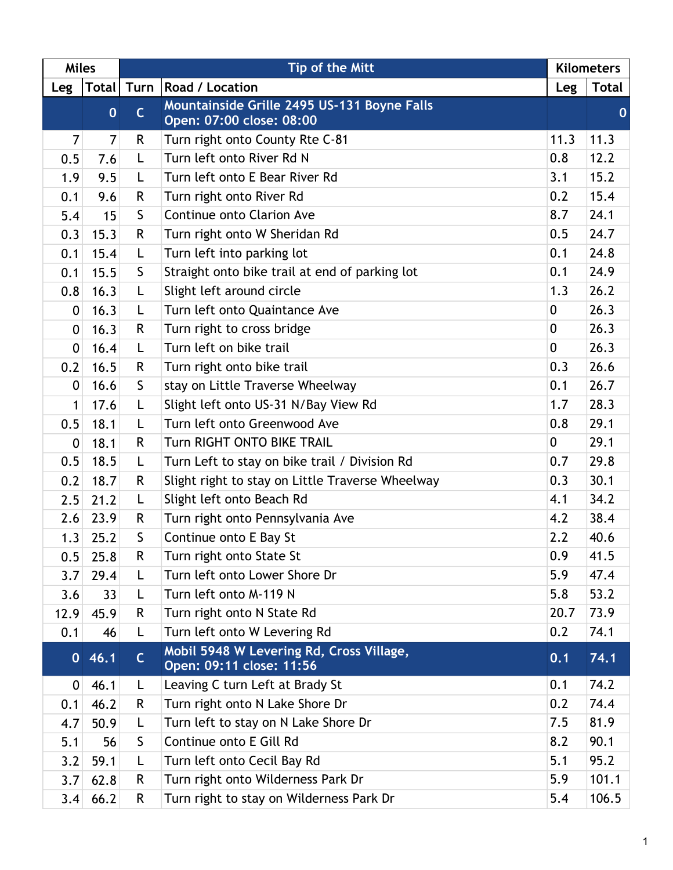| <b>Miles</b>     |                | Tip of the Mitt |                                                                         | <b>Kilometers</b> |              |
|------------------|----------------|-----------------|-------------------------------------------------------------------------|-------------------|--------------|
| Leg              | <b>Total</b>   |                 | Turn   Road / Location                                                  | Leg               | <b>Total</b> |
|                  | $\mathbf 0$    | $\mathsf{C}$    | Mountainside Grille 2495 US-131 Boyne Falls<br>Open: 07:00 close: 08:00 |                   | $\mathbf 0$  |
| 7                | $\overline{7}$ | R.              | Turn right onto County Rte C-81                                         | 11.3              | 11.3         |
| 0.5              | 7.6            | Г               | Turn left onto River Rd N                                               | 0.8               | 12.2         |
| 1.9              | 9.5            | L               | Turn left onto E Bear River Rd                                          | 3.1               | 15.2         |
| 0.1              | 9.6            | R               | Turn right onto River Rd                                                | 0.2               | 15.4         |
| 5.4              | 15             | $\mathsf{S}$    | Continue onto Clarion Ave                                               | 8.7               | 24.1         |
| 0.3              | 15.3           | R               | Turn right onto W Sheridan Rd                                           | 0.5               | 24.7         |
| 0.1              | 15.4           | Г               | Turn left into parking lot                                              | 0.1               | 24.8         |
| 0.1              | 15.5           | S               | Straight onto bike trail at end of parking lot                          | 0.1               | 24.9         |
| 0.8              | 16.3           | L               | Slight left around circle                                               | 1.3               | 26.2         |
| 0                | 16.3           | L               | Turn left onto Quaintance Ave                                           | 0                 | 26.3         |
| 0                | 16.3           | R               | Turn right to cross bridge                                              | $\mathbf{0}$      | 26.3         |
| 0                | 16.4           | L               | Turn left on bike trail                                                 | $\overline{0}$    | 26.3         |
| 0.2              | 16.5           | R               | Turn right onto bike trail                                              | 0.3               | 26.6         |
| 0                | 16.6           | S               | stay on Little Traverse Wheelway                                        | 0.1               | 26.7         |
| $\mathbf{1}$     | 17.6           | L               | Slight left onto US-31 N/Bay View Rd                                    | 1.7               | 28.3         |
| 0.5              | 18.1           | L               | Turn left onto Greenwood Ave                                            | 0.8               | 29.1         |
| $\boldsymbol{0}$ | 18.1           | R.              | <b>Turn RIGHT ONTO BIKE TRAIL</b>                                       | 0                 | 29.1         |
| 0.5              | 18.5           | Г               | Turn Left to stay on bike trail / Division Rd                           | 0.7               | 29.8         |
| 0.2              | 18.7           | R               | Slight right to stay on Little Traverse Wheelway                        | 0.3               | 30.1         |
| 2.5              | 21.2           | L               | Slight left onto Beach Rd                                               | 4.1               | 34.2         |
| 2.6              | 23.9           | R               | Turn right onto Pennsylvania Ave                                        | 4.2               | 38.4         |
| 1.3              | 25.2           | S               | Continue onto E Bay St                                                  | 2.2               | 40.6         |
| 0.5              | 25.8           | R               | Turn right onto State St                                                | 0.9               | 41.5         |
| 3.7              | 29.4           | L               | Turn left onto Lower Shore Dr                                           | 5.9               | 47.4         |
| 3.6              | 33             | L               | Turn left onto M-119 N                                                  | 5.8               | 53.2         |
| 12.9             | 45.9           | R               | Turn right onto N State Rd                                              | 20.7              | 73.9         |
| 0.1              | 46             | L               | Turn left onto W Levering Rd                                            | 0.2               | 74.1         |
|                  | 046.1          | $\mathsf{C}$    | Mobil 5948 W Levering Rd, Cross Village,<br>Open: 09:11 close: 11:56    | 0.1               | 74.1         |
| 0                | 46.1           | L               | Leaving C turn Left at Brady St                                         | 0.1               | 74.2         |
| 0.1              | 46.2           | R               | Turn right onto N Lake Shore Dr                                         | 0.2               | 74.4         |
| 4.7              | 50.9           | L               | Turn left to stay on N Lake Shore Dr                                    | 7.5               | 81.9         |
| 5.1              | 56             | S               | Continue onto E Gill Rd                                                 | 8.2               | 90.1         |
| 3.2              | 59.1           | L               | Turn left onto Cecil Bay Rd                                             | 5.1               | 95.2         |
| 3.7              | 62.8           | R.              | Turn right onto Wilderness Park Dr                                      | 5.9               | 101.1        |
| 3.4              | 66.2           | R.              | Turn right to stay on Wilderness Park Dr                                | 5.4               | 106.5        |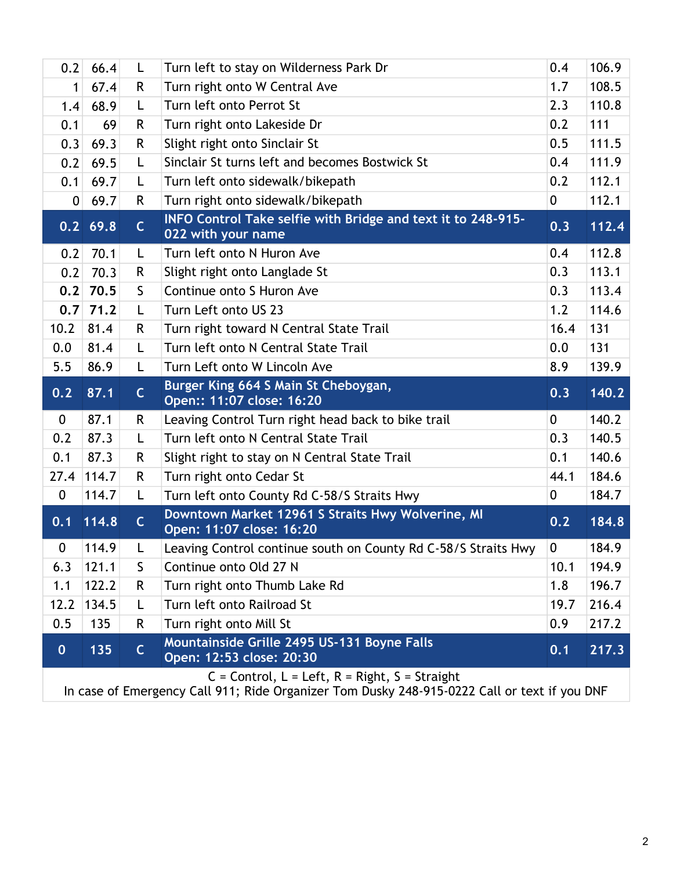| 0.2              | 66.4       | L            | Turn left to stay on Wilderness Park Dr                                            | 0.4            | 106.9 |
|------------------|------------|--------------|------------------------------------------------------------------------------------|----------------|-------|
| 1                | 67.4       | R.           | Turn right onto W Central Ave                                                      | 1.7            | 108.5 |
| 1.4              | 68.9       | L            | Turn left onto Perrot St                                                           | 2.3            | 110.8 |
| 0.1              | 69         | R.           | Turn right onto Lakeside Dr                                                        | 0.2            | 111   |
| 0.3              | 69.3       | R.           | Slight right onto Sinclair St                                                      | 0.5            | 111.5 |
| 0.2              | 69.5       | L            | Sinclair St turns left and becomes Bostwick St                                     | 0.4            | 111.9 |
| 0.1              | 69.7       | L            | Turn left onto sidewalk/bikepath                                                   | 0.2            | 112.1 |
| $\overline{0}$   | 69.7       | R.           | Turn right onto sidewalk/bikepath                                                  | $\overline{0}$ | 112.1 |
|                  | $0.2$ 69.8 | $\mathsf{C}$ | INFO Control Take selfie with Bridge and text it to 248-915-<br>022 with your name | 0.3            | 112.4 |
| 0.2              | 70.1       | L            | Turn left onto N Huron Ave                                                         | 0.4            | 112.8 |
| 0.2              | 70.3       | R.           | Slight right onto Langlade St                                                      | 0.3            | 113.1 |
| 0.2              | 70.5       | S.           | Continue onto S Huron Ave                                                          | 0.3            | 113.4 |
| 0.7              | 71.2       | L            | Turn Left onto US 23                                                               | 1.2            | 114.6 |
| 10.2             | 81.4       | R            | Turn right toward N Central State Trail                                            | 16.4           | 131   |
| 0.0              | 81.4       | L            | Turn left onto N Central State Trail                                               | 0.0            | 131   |
| 5.5              | 86.9       | L            | Turn Left onto W Lincoln Ave                                                       | 8.9            | 139.9 |
|                  |            |              |                                                                                    |                |       |
| 0.2              | 87.1       | $\mathsf{C}$ | Burger King 664 S Main St Cheboygan,<br>Open:: 11:07 close: 16:20                  | 0.3            | 140.2 |
| $\bf{0}$         | 87.1       | R.           | Leaving Control Turn right head back to bike trail                                 | $\mathbf 0$    | 140.2 |
| 0.2              | 87.3       | L            | Turn left onto N Central State Trail                                               | 0.3            | 140.5 |
| 0.1              | 87.3       | R            | Slight right to stay on N Central State Trail                                      | 0.1            | 140.6 |
| 27.4             | 114.7      | R.           | Turn right onto Cedar St                                                           | 44.1           | 184.6 |
| $\boldsymbol{0}$ | 114.7      | L            | Turn left onto County Rd C-58/S Straits Hwy                                        | 0              | 184.7 |
| 0.1              | 114.8      | $\mathsf{C}$ | Downtown Market 12961 S Straits Hwy Wolverine, MI<br>Open: 11:07 close: 16:20      | 0.2            | 184.8 |
| 0                | 114.9      |              | Leaving Control continue south on County Rd C-58/S Straits Hwy                     | 0              | 184.9 |
| 6.3              | 121.1      | S            | Continue onto Old 27 N                                                             | 10.1           | 194.9 |
| 1.1              | 122.2      | R            | Turn right onto Thumb Lake Rd                                                      | 1.8            | 196.7 |
| 12.2             | 134.5      | L            | Turn left onto Railroad St                                                         | 19.7           | 216.4 |
| 0.5              | 135        | R            | Turn right onto Mill St                                                            | 0.9            | 217.2 |
| $\mathbf{0}$     | 135        | $\mathsf{C}$ | Mountainside Grille 2495 US-131 Boyne Falls<br>Open: 12:53 close: 20:30            | 0.1            | 217.3 |